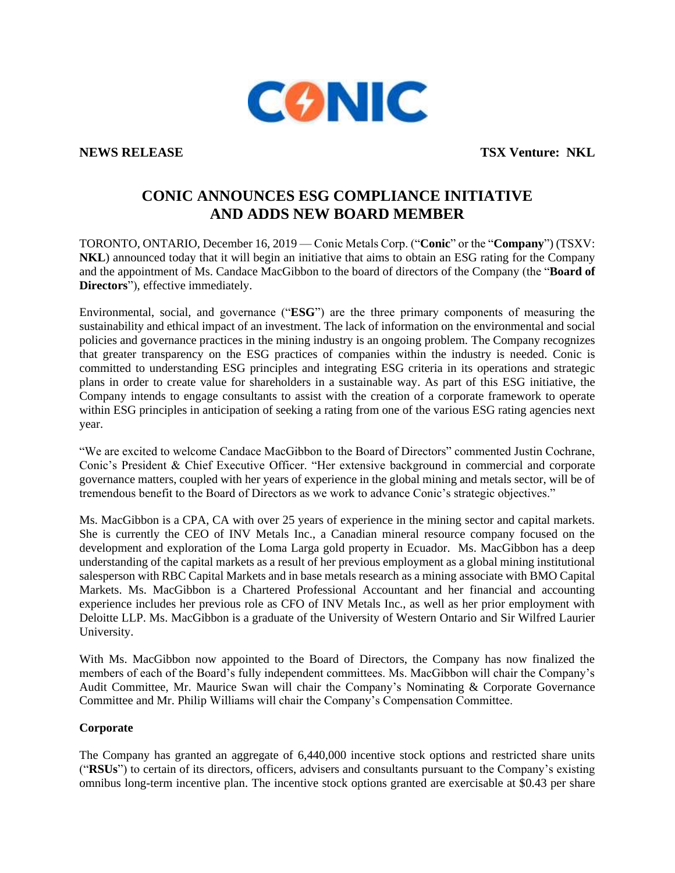

**NEWS RELEASE TSX Venture: NKL** 

## **CONIC ANNOUNCES ESG COMPLIANCE INITIATIVE AND ADDS NEW BOARD MEMBER**

TORONTO, ONTARIO, December 16, 2019 — Conic Metals Corp. ("**Conic**" or the "**Company**") (TSXV: **NKL**) announced today that it will begin an initiative that aims to obtain an ESG rating for the Company and the appointment of Ms. Candace MacGibbon to the board of directors of the Company (the "**Board of Directors**"), effective immediately.

Environmental, social, and governance ("**ESG**") are the three primary components of measuring the sustainability and ethical impact of an investment. The lack of information on the environmental and social policies and governance practices in the mining industry is an ongoing problem. The Company recognizes that greater transparency on the ESG practices of companies within the industry is needed. Conic is committed to understanding ESG principles and integrating ESG criteria in its operations and strategic plans in order to create value for shareholders in a sustainable way. As part of this ESG initiative, the Company intends to engage consultants to assist with the creation of a corporate framework to operate within ESG principles in anticipation of seeking a rating from one of the various ESG rating agencies next year.

"We are excited to welcome Candace MacGibbon to the Board of Directors" commented Justin Cochrane, Conic's President & Chief Executive Officer. "Her extensive background in commercial and corporate governance matters, coupled with her years of experience in the global mining and metals sector, will be of tremendous benefit to the Board of Directors as we work to advance Conic's strategic objectives."

Ms. MacGibbon is a CPA, CA with over 25 years of experience in the mining sector and capital markets. She is currently the CEO of INV Metals Inc., a Canadian mineral resource company focused on the development and exploration of the Loma Larga gold property in Ecuador. Ms. MacGibbon has a deep understanding of the capital markets as a result of her previous employment as a global mining institutional salesperson with RBC Capital Markets and in base metals research as a mining associate with BMO Capital Markets. Ms. MacGibbon is a Chartered Professional Accountant and her financial and accounting experience includes her previous role as CFO of INV Metals Inc., as well as her prior employment with Deloitte LLP. Ms. MacGibbon is a graduate of the University of Western Ontario and Sir Wilfred Laurier University.

With Ms. MacGibbon now appointed to the Board of Directors, the Company has now finalized the members of each of the Board's fully independent committees. Ms. MacGibbon will chair the Company's Audit Committee, Mr. Maurice Swan will chair the Company's Nominating & Corporate Governance Committee and Mr. Philip Williams will chair the Company's Compensation Committee.

## **Corporate**

The Company has granted an aggregate of 6,440,000 incentive stock options and restricted share units ("**RSUs**") to certain of its directors, officers, advisers and consultants pursuant to the Company's existing omnibus long-term incentive plan. The incentive stock options granted are exercisable at \$0.43 per share